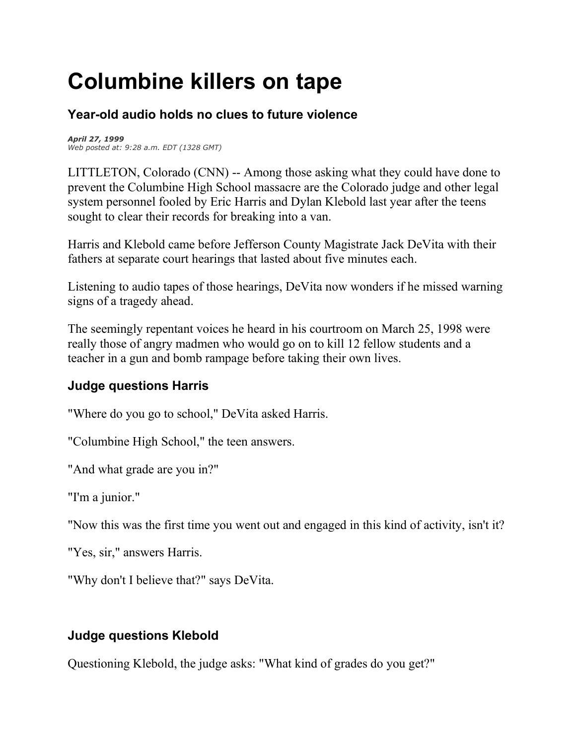# **Columbine killers on tape**

## **Year-old audio holds no clues to future violence**

*April 27, 1999 Web posted at: 9:28 a.m. EDT (1328 GMT)*

LITTLETON, Colorado (CNN) -- Among those asking what they could have done to prevent the Columbine High School massacre are the Colorado judge and other legal system personnel fooled by Eric Harris and Dylan Klebold last year after the teens sought to clear their records for breaking into a van.

Harris and Klebold came before Jefferson County Magistrate Jack DeVita with their fathers at separate court hearings that lasted about five minutes each.

Listening to audio tapes of those hearings, DeVita now wonders if he missed warning signs of a tragedy ahead.

The seemingly repentant voices he heard in his courtroom on March 25, 1998 were really those of angry madmen who would go on to kill 12 fellow students and a teacher in a gun and bomb rampage before taking their own lives.

### **Judge questions Harris**

"Where do you go to school," DeVita asked Harris.

"Columbine High School," the teen answers.

"And what grade are you in?"

"I'm a junior."

"Now this was the first time you went out and engaged in this kind of activity, isn't it?

"Yes, sir," answers Harris.

"Why don't I believe that?" says DeVita.

### **Judge questions Klebold**

Questioning Klebold, the judge asks: "What kind of grades do you get?"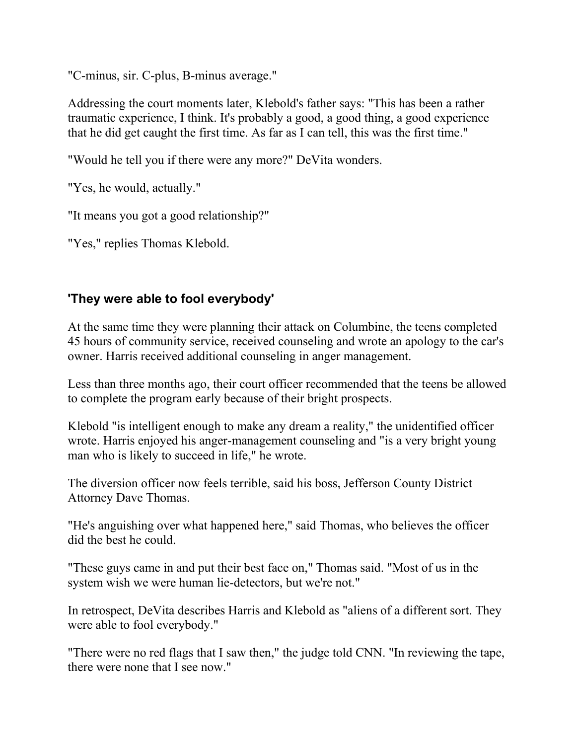"C-minus, sir. C-plus, B-minus average."

Addressing the court moments later, Klebold's father says: "This has been a rather traumatic experience, I think. It's probably a good, a good thing, a good experience that he did get caught the first time. As far as I can tell, this was the first time."

"Would he tell you if there were any more?" DeVita wonders.

"Yes, he would, actually."

"It means you got a good relationship?"

"Yes," replies Thomas Klebold.

### **'They were able to fool everybody'**

At the same time they were planning their attack on Columbine, the teens completed 45 hours of community service, received counseling and wrote an apology to the car's owner. Harris received additional counseling in anger management.

Less than three months ago, their court officer recommended that the teens be allowed to complete the program early because of their bright prospects.

Klebold "is intelligent enough to make any dream a reality," the unidentified officer wrote. Harris enjoyed his anger-management counseling and "is a very bright young man who is likely to succeed in life," he wrote.

The diversion officer now feels terrible, said his boss, Jefferson County District Attorney Dave Thomas.

"He's anguishing over what happened here," said Thomas, who believes the officer did the best he could.

"These guys came in and put their best face on," Thomas said. "Most of us in the system wish we were human lie-detectors, but we're not."

In retrospect, DeVita describes Harris and Klebold as "aliens of a different sort. They were able to fool everybody."

"There were no red flags that I saw then," the judge told CNN. "In reviewing the tape, there were none that I see now."